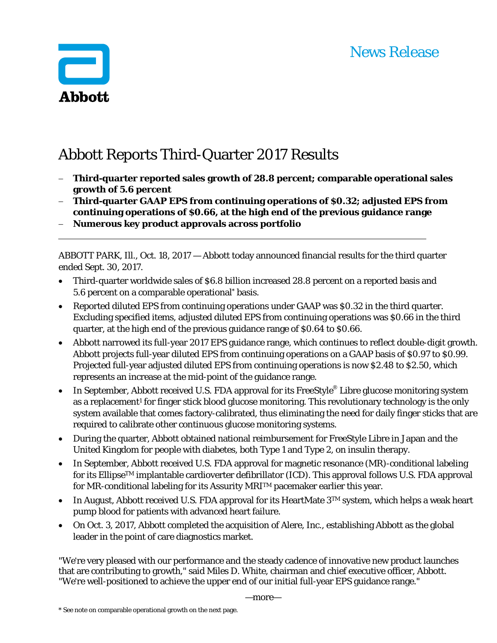# News Release



# Abbott Reports Third-Quarter 2017 Results

- **Third-quarter reported sales growth of 28.8 percent; comparable operational sales growth of 5.6 percent**
- **Third-quarter GAAP EPS from continuing operations of \$0.32; adjusted EPS from continuing operations of \$0.66, at the high end of the previous guidance range**
- **Numerous key product approvals across portfolio**

ABBOTT PARK, Ill., Oct. 18, 2017 — Abbott today announced financial results for the third quarter ended Sept. 30, 2017.

- Third-quarter worldwide sales of \$6.8 billion increased 28.8 percent on a reported basis and 5.6 percent on a comparable operational\* basis.
- Reported diluted EPS from continuing operations under GAAP was \$0.32 in the third quarter. Excluding specified items, adjusted diluted EPS from continuing operations was \$0.66 in the third quarter, at the high end of the previous guidance range of \$0.64 to \$0.66.
- Abbott narrowed its full-year 2017 EPS guidance range, which continues to reflect double-digit growth. Abbott projects full-year diluted EPS from continuing operations on a GAAP basis of \$0.97 to \$0.99. Projected full-year adjusted diluted EPS from continuing operations is now \$2.48 to \$2.50, which represents an increase at the mid-point of the guidance range.
- In September, Abbott received U.S. FDA approval for its FreeStyle<sup>®</sup> Libre glucose monitoring system as a replacement<sup>1</sup> for finger stick blood glucose monitoring. This revolutionary technology is the only system available that comes factory-calibrated, thus eliminating the need for daily finger sticks that are required to calibrate other continuous glucose monitoring systems.
- During the quarter, Abbott obtained national reimbursement for FreeStyle Libre in Japan and the United Kingdom for people with diabetes, both Type 1 and Type 2, on insulin therapy.
- In September, Abbott received U.S. FDA approval for magnetic resonance (MR)-conditional labeling for its EllipseTM implantable cardioverter defibrillator (ICD). This approval follows U.S. FDA approval for MR-conditional labeling for its Assurity MRITM pacemaker earlier this year.
- In August, Abbott received U.S. FDA approval for its HeartMate  $3^{TM}$  system, which helps a weak heart pump blood for patients with advanced heart failure.
- On Oct. 3, 2017, Abbott completed the acquisition of Alere, Inc., establishing Abbott as the global leader in the point of care diagnostics market.

"We're very pleased with our performance and the steady cadence of innovative new product launches that are contributing to growth," said Miles D. White, chairman and chief executive officer, Abbott. "We're well-positioned to achieve the upper end of our initial full-year EPS guidance range."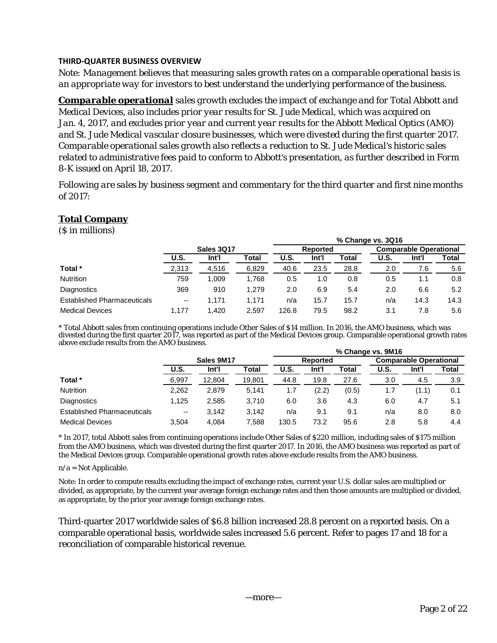## **THIRD‐QUARTER BUSINESS OVERVIEW**

*Note: Management believes that measuring sales growth rates on a comparable operational basis is an appropriate way for investors to best understand the underlying performance of the business.* 

*Comparable operational sales growth excludes the impact of exchange and for Total Abbott and Medical Devices, also includes prior year results for St. Jude Medical, which was acquired on Jan. 4, 2017, and excludes prior year and current year results for the Abbott Medical Optics (AMO) and St. Jude Medical vascular closure businesses, which were divested during the first quarter 2017. Comparable operational sales growth also reflects a reduction to St. Jude Medical's historic sales related to administrative fees paid to conform to Abbott's presentation, as further described in Form 8-K issued on April 18, 2017.* 

*Following are sales by business segment and commentary for the third quarter and first nine months of 2017:* 

# **Total Company**

(\$ in millions)

|                                    |                          |       |       |       |          |       | % Change vs. 3Q16 |                               |       |  |
|------------------------------------|--------------------------|-------|-------|-------|----------|-------|-------------------|-------------------------------|-------|--|
|                                    | <b>Sales 3Q17</b>        |       |       |       | Reported |       |                   | <b>Comparable Operational</b> |       |  |
|                                    | U.S.                     | Int'l | Total | U.S.  | Int'l    | Total | <b>U.S.</b>       | Int'l                         | Total |  |
| Total *                            | 2,313                    | 4,516 | 6,829 | 40.6  | 23.5     | 28.8  | 2.0               | 7.6                           | 5.6   |  |
| <b>Nutrition</b>                   | 759                      | 1.009 | 1.768 | 0.5   | 1.0      | 0.8   | 0.5               | 1.1                           | 0.8   |  |
| Diagnostics                        | 369                      | 910   | 1.279 | 2.0   | 6.9      | 5.4   | 2.0               | 6.6                           | 5.2   |  |
| <b>Established Pharmaceuticals</b> | $\overline{\phantom{a}}$ | 1.171 | 1.171 | n/a   | 15.7     | 15.7  | n/a               | 14.3                          | 14.3  |  |
| <b>Medical Devices</b>             | 1.177                    | 1.420 | 2.597 | 126.8 | 79.5     | 98.2  | 3.1               | 7.8                           | 5.6   |  |

\* Total Abbott sales from continuing operations include Other Sales of \$14 million. In 2016, the AMO business, which was divested during the first quarter 2017, was reported as part of the Medical Devices group. Comparable operational growth rates above exclude results from the AMO business.

|                                    |             |        |        | % Change vs. 9M16 |          |       |                               |       |       |  |  |  |
|------------------------------------|-------------|--------|--------|-------------------|----------|-------|-------------------------------|-------|-------|--|--|--|
|                                    | Sales 9M17  |        |        |                   | Reported |       | <b>Comparable Operational</b> |       |       |  |  |  |
|                                    | <b>U.S.</b> | Int'l  | Total  | <b>U.S.</b>       | Int'l    | Total | U.S.                          | Int'l | Total |  |  |  |
| Total *                            | 6,997       | 12,804 | 19,801 | 44.8              | 19.8     | 27.6  | 3.0                           | 4.5   | 3.9   |  |  |  |
| <b>Nutrition</b>                   | 2,262       | 2,879  | 5.141  | 1.7               | (2.2)    | (0.5) | 1.7                           | (1.1) | 0.1   |  |  |  |
| <b>Diagnostics</b>                 | 1.125       | 2,585  | 3.710  | 6.0               | 3.6      | 4.3   | 6.0                           | 4.7   | 5.1   |  |  |  |
| <b>Established Pharmaceuticals</b> | $\sim$      | 3.142  | 3.142  | n/a               | 9.1      | 9.1   | n/a                           | 8.0   | 8.0   |  |  |  |
| <b>Medical Devices</b>             | 3.504       | 4,084  | 7.588  | 130.5             | 73.2     | 95.6  | 2.8                           | 5.8   | 4.4   |  |  |  |

\* In 2017, total Abbott sales from continuing operations include Other Sales of \$220 million, including sales of \$175 million from the AMO business, which was divested during the first quarter 2017. In 2016, the AMO business was reported as part of the Medical Devices group. Comparable operational growth rates above exclude results from the AMO business.

n/a = Not Applicable.

Note: In order to compute results excluding the impact of exchange rates, current year U.S. dollar sales are multiplied or divided, as appropriate, by the current year average foreign exchange rates and then those amounts are multiplied or divided, as appropriate, by the prior year average foreign exchange rates.

Third-quarter 2017 worldwide sales of \$6.8 billion increased 28.8 percent on a reported basis. On a comparable operational basis, worldwide sales increased 5.6 percent. Refer to pages 17 and 18 for a reconciliation of comparable historical revenue.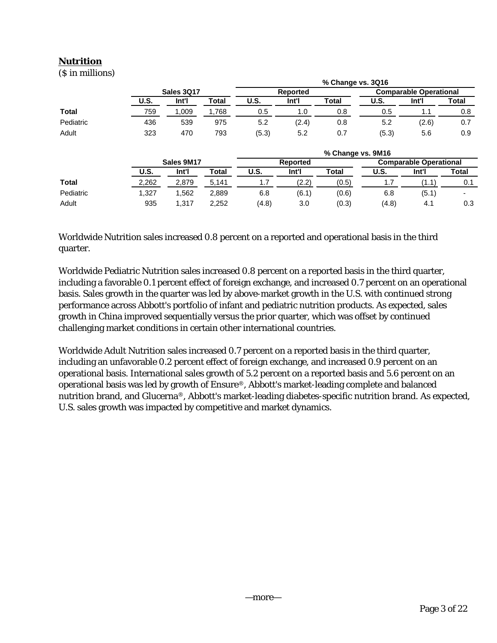# **Nutrition**

(\$ in millions)

|              |             |                   |              |       |                 | % Change vs. 3Q16 |       |                               |                          |
|--------------|-------------|-------------------|--------------|-------|-----------------|-------------------|-------|-------------------------------|--------------------------|
|              |             | <b>Sales 3017</b> |              |       | <b>Reported</b> |                   |       | <b>Comparable Operational</b> |                          |
|              | <b>U.S.</b> | Int'l             | <b>Total</b> | U.S.  | Int'l           | Total             | U.S.  | Int'l                         | Total                    |
| <b>Total</b> | 759         | 1,009             | 1,768        | 0.5   | 1.0             | 0.8               | 0.5   | 1.1                           | 0.8                      |
| Pediatric    | 436         | 539               | 975          | 5.2   | (2.4)           | 0.8               | 5.2   | (2.6)                         | 0.7                      |
| Adult        | 323         | 470               | 793          | (5.3) | 5.2             | 0.7               | (5.3) | 5.6                           | 0.9                      |
|              |             |                   |              |       |                 | % Change vs. 9M16 |       |                               |                          |
|              |             | Sales 9M17        |              |       | Reported        |                   |       | <b>Comparable Operational</b> |                          |
|              | <b>U.S.</b> | Int'l             | Total        | U.S.  | Int'l           | <b>Total</b>      | U.S.  | Int'l                         | Total                    |
| <b>Total</b> | 2,262       | 2,879             | 5.141        | 1.7   | (2.2)           | (0.5)             | 1.7   | (1.1)                         | 0.1                      |
| Pediatric    | 1,327       | 1,562             | 2,889        | 6.8   | (6.1)           | (0.6)             | 6.8   | (5.1)                         | $\overline{\phantom{0}}$ |
| Adult        | 935         | 1.317             | 2.252        | (4.8) | 3.0             | (0.3)             | (4.8) | 4.1                           | 0.3                      |

Worldwide Nutrition sales increased 0.8 percent on a reported and operational basis in the third quarter.

Worldwide Pediatric Nutrition sales increased 0.8 percent on a reported basis in the third quarter, including a favorable 0.1 percent effect of foreign exchange, and increased 0.7 percent on an operational basis. Sales growth in the quarter was led by above-market growth in the U.S. with continued strong performance across Abbott's portfolio of infant and pediatric nutrition products. As expected, sales growth in China improved sequentially versus the prior quarter, which was offset by continued challenging market conditions in certain other international countries.

Worldwide Adult Nutrition sales increased 0.7 percent on a reported basis in the third quarter, including an unfavorable 0.2 percent effect of foreign exchange, and increased 0.9 percent on an operational basis. International sales growth of 5.2 percent on a reported basis and 5.6 percent on an operational basis was led by growth of Ensure®, Abbott's market-leading complete and balanced nutrition brand, and Glucerna®, Abbott's market-leading diabetes-specific nutrition brand. As expected, U.S. sales growth was impacted by competitive and market dynamics.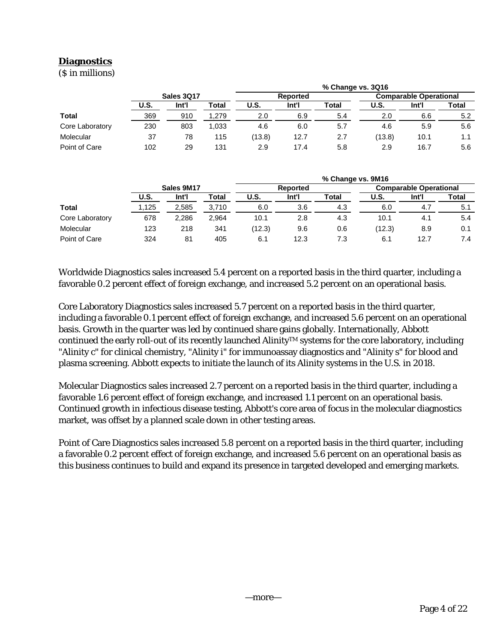# **Diagnostics**

(\$ in millions)

|                 |                   |       |       |        |          | % Change vs. 3Q16 |        |                               |       |  |
|-----------------|-------------------|-------|-------|--------|----------|-------------------|--------|-------------------------------|-------|--|
|                 | <b>Sales 3017</b> |       |       |        | Reported |                   |        | <b>Comparable Operational</b> |       |  |
|                 | U.S.              | Int'l | Total | U.S.   | Int'l    | Total             | U.S.   | Int'l                         | Total |  |
| <b>Total</b>    | 369               | 910   | 1,279 | 2.0    | 6.9      | 5.4               | 2.0    | 6.6                           | 5.2   |  |
| Core Laboratory | 230               | 803   | 1.033 | 4.6    | 6.0      | 5.7               | 4.6    | 5.9                           | 5.6   |  |
| Molecular       | 37                | 78    | 115   | (13.8) | 12.7     | 2.7               | (13.8) | 10.1                          | 1.1   |  |
| Point of Care   | 102               | 29    | 131   | 2.9    | 17.4     | 5.8               | 2.9    | 16.7                          | 5.6   |  |

|                 |            |       |       |             |                 | % Change vs. 9M16 |                               |       |       |
|-----------------|------------|-------|-------|-------------|-----------------|-------------------|-------------------------------|-------|-------|
|                 | Sales 9M17 |       |       |             | <b>Reported</b> |                   | <b>Comparable Operational</b> |       |       |
|                 | U.S.       | Int'l | Total | <b>U.S.</b> | Int'l           | <b>Total</b>      | U.S.                          | Int'l | Total |
| Total           | 1,125      | 2,585 | 3,710 | 6.0         | 3.6             | 4.3               | 6.0                           | 4.7   | 5.1   |
| Core Laboratory | 678        | 2.286 | 2,964 | 10.1        | 2.8             | 4.3               | 10.1                          | 4.1   | 5.4   |
| Molecular       | 123        | 218   | 341   | (12.3)      | 9.6             | 0.6               | (12.3)                        | 8.9   | 0.1   |
| Point of Care   | 324        | 81    | 405   | 6.1         | 12.3            | 7.3               | 6.1                           | 12.7  | 7.4   |

Worldwide Diagnostics sales increased 5.4 percent on a reported basis in the third quarter, including a favorable 0.2 percent effect of foreign exchange, and increased 5.2 percent on an operational basis.

Core Laboratory Diagnostics sales increased 5.7 percent on a reported basis in the third quarter, including a favorable 0.1 percent effect of foreign exchange, and increased 5.6 percent on an operational basis. Growth in the quarter was led by continued share gains globally. Internationally, Abbott continued the early roll-out of its recently launched Alinity™ systems for the core laboratory, including "Alinity c" for clinical chemistry, "Alinity i" for immunoassay diagnostics and "Alinity s" for blood and plasma screening. Abbott expects to initiate the launch of its Alinity systems in the U.S. in 2018.

Molecular Diagnostics sales increased 2.7 percent on a reported basis in the third quarter, including a favorable 1.6 percent effect of foreign exchange, and increased 1.1 percent on an operational basis. Continued growth in infectious disease testing, Abbott's core area of focus in the molecular diagnostics market, was offset by a planned scale down in other testing areas.

Point of Care Diagnostics sales increased 5.8 percent on a reported basis in the third quarter, including a favorable 0.2 percent effect of foreign exchange, and increased 5.6 percent on an operational basis as this business continues to build and expand its presence in targeted developed and emerging markets.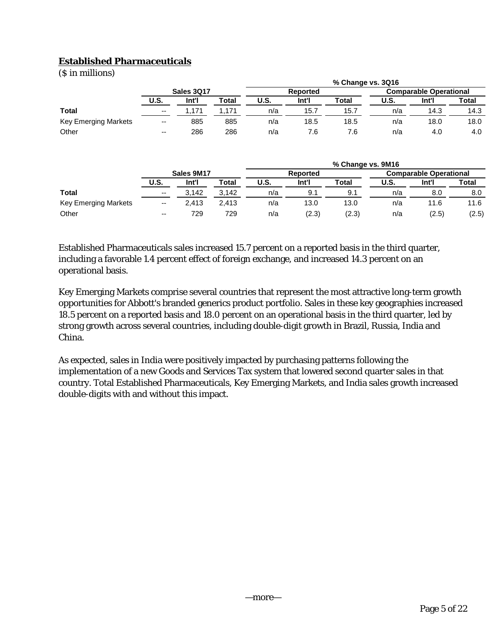# **Established Pharmaceuticals**

(\$ in millions)

| $(9$ in miniving     |                          |       |       |                 |       | % Change vs. 3Q16 |                               |       |       |
|----------------------|--------------------------|-------|-------|-----------------|-------|-------------------|-------------------------------|-------|-------|
|                      | <b>Sales 3017</b>        |       |       | <b>Reported</b> |       |                   | <b>Comparable Operational</b> |       |       |
|                      | U.S.                     | Int'l | Total | <b>U.S.</b>     | Int'l | Total             | U.S.                          | Int'l | Total |
| <b>Total</b>         | $\overline{\phantom{a}}$ | .171  | .171  | n/a             | 15.7  | 15.7              | n/a                           | 14.3  | 14.3  |
| Key Emerging Markets | $\overline{\phantom{m}}$ | 885   | 885   | n/a             | 18.5  | 18.5              | n/a                           | 18.0  | 18.0  |
| Other                | $\overline{\phantom{a}}$ | 286   | 286   | n/a             | 7.6   | 7.6               | n/a                           | 4.0   | 4.0   |

|                      |                          |       |       | % Change vs. 9M16 |                 |       |      |                               |       |  |  |
|----------------------|--------------------------|-------|-------|-------------------|-----------------|-------|------|-------------------------------|-------|--|--|
|                      | Sales 9M17               |       |       |                   | <b>Reported</b> |       |      | <b>Comparable Operational</b> |       |  |  |
|                      | <b>U.S.</b>              | Int'l | Total | U.S.              | Int'l           | Total | U.S. | Int'l                         | Total |  |  |
| <b>Total</b>         | $\overline{\phantom{a}}$ | 3.142 | 3.142 | n/a               | 9.              | 9.1   | n/a  | 8.0                           | 8.0   |  |  |
| Key Emerging Markets | $\overline{\phantom{m}}$ | 2.413 | 2.413 | n/a               | 13.0            | 13.0  | n/a  | 11.6                          | 11.6  |  |  |
| Other                | $\overline{\phantom{a}}$ | 729   | 729   | n/a               | (2.3)           | (2.3) | n/a  | (2.5)                         | (2.5) |  |  |

Established Pharmaceuticals sales increased 15.7 percent on a reported basis in the third quarter, including a favorable 1.4 percent effect of foreign exchange, and increased 14.3 percent on an operational basis.

Key Emerging Markets comprise several countries that represent the most attractive long-term growth opportunities for Abbott's branded generics product portfolio. Sales in these key geographies increased 18.5 percent on a reported basis and 18.0 percent on an operational basis in the third quarter, led by strong growth across several countries, including double-digit growth in Brazil, Russia, India and China.

As expected, sales in India were positively impacted by purchasing patterns following the implementation of a new Goods and Services Tax system that lowered second quarter sales in that country. Total Established Pharmaceuticals, Key Emerging Markets, and India sales growth increased double-digits with and without this impact.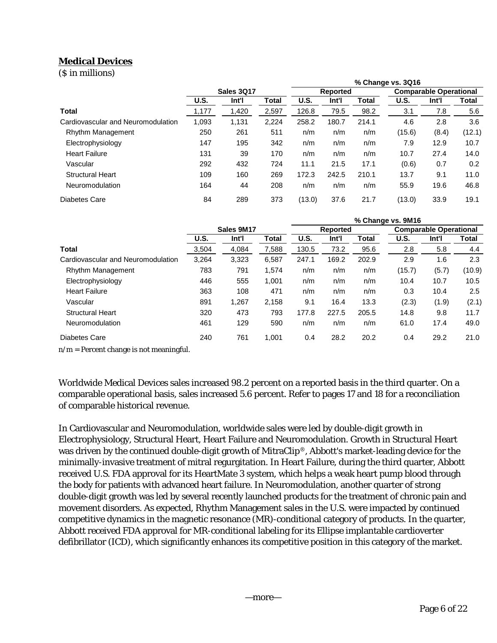# **Medical Devices**

(\$ in millions)

|                                    |             |                   |       | % Change vs. 3Q16 |          |       |             |                               |        |
|------------------------------------|-------------|-------------------|-------|-------------------|----------|-------|-------------|-------------------------------|--------|
|                                    |             | <b>Sales 3Q17</b> |       |                   | Reported |       |             | <b>Comparable Operational</b> |        |
|                                    | <b>U.S.</b> | Int'l             | Total | U.S.              | Int'l    | Total | <b>U.S.</b> | Int'l                         | Total  |
| <b>Total</b>                       | 1,177       | 1,420             | 2,597 | 126.8             | 79.5     | 98.2  | 3.1         | 7.8                           | 5.6    |
| Cardiovascular and Neuromodulation | 1,093       | 1,131             | 2,224 | 258.2             | 180.7    | 214.1 | 4.6         | 2.8                           | 3.6    |
| Rhythm Management                  | 250         | 261               | 511   | n/m               | n/m      | n/m   | (15.6)      | (8.4)                         | (12.1) |
| Electrophysiology                  | 147         | 195               | 342   | n/m               | n/m      | n/m   | 7.9         | 12.9                          | 10.7   |
| <b>Heart Failure</b>               | 131         | 39                | 170   | n/m               | n/m      | n/m   | 10.7        | 27.4                          | 14.0   |
| Vascular                           | 292         | 432               | 724   | 11.1              | 21.5     | 17.1  | (0.6)       | 0.7                           | 0.2    |
| <b>Structural Heart</b>            | 109         | 160               | 269   | 172.3             | 242.5    | 210.1 | 13.7        | 9.1                           | 11.0   |
| Neuromodulation                    | 164         | 44                | 208   | n/m               | n/m      | n/m   | 55.9        | 19.6                          | 46.8   |
| Diabetes Care                      | 84          | 289               | 373   | (13.0)            | 37.6     | 21.7  | (13.0)      | 33.9                          | 19.1   |

|                                    |       |            |              | % Change vs. 9M16 |          |       |             |                               |        |
|------------------------------------|-------|------------|--------------|-------------------|----------|-------|-------------|-------------------------------|--------|
|                                    |       | Sales 9M17 |              |                   | Reported |       |             | <b>Comparable Operational</b> |        |
|                                    | U.S.  | Int'l      | <b>Total</b> | U.S.              | Int'l    | Total | <b>U.S.</b> | Int'l                         | Total  |
| Total                              | 3,504 | 4,084      | 7,588        | 130.5             | 73.2     | 95.6  | 2.8         | 5.8                           | 4.4    |
| Cardiovascular and Neuromodulation | 3,264 | 3,323      | 6,587        | 247.1             | 169.2    | 202.9 | 2.9         | 1.6                           | 2.3    |
| Rhythm Management                  | 783   | 791        | 1.574        | n/m               | n/m      | n/m   | (15.7)      | (5.7)                         | (10.9) |
| Electrophysiology                  | 446   | 555        | 1,001        | n/m               | n/m      | n/m   | 10.4        | 10.7                          | 10.5   |
| <b>Heart Failure</b>               | 363   | 108        | 471          | n/m               | n/m      | n/m   | 0.3         | 10.4                          | 2.5    |
| Vascular                           | 891   | 1,267      | 2,158        | 9.1               | 16.4     | 13.3  | (2.3)       | (1.9)                         | (2.1)  |
| <b>Structural Heart</b>            | 320   | 473        | 793          | 177.8             | 227.5    | 205.5 | 14.8        | 9.8                           | 11.7   |
| Neuromodulation                    | 461   | 129        | 590          | n/m               | n/m      | n/m   | 61.0        | 17.4                          | 49.0   |
| Diabetes Care                      | 240   | 761        | 1,001        | 0.4               | 28.2     | 20.2  | 0.4         | 29.2                          | 21.0   |

 $n/m =$  Percent change is not meaningful.

Worldwide Medical Devices sales increased 98.2 percent on a reported basis in the third quarter. On a comparable operational basis, sales increased 5.6 percent. Refer to pages 17 and 18 for a reconciliation of comparable historical revenue.

In Cardiovascular and Neuromodulation, worldwide sales were led by double-digit growth in Electrophysiology, Structural Heart, Heart Failure and Neuromodulation. Growth in Structural Heart was driven by the continued double-digit growth of MitraClip®, Abbott's market-leading device for the minimally-invasive treatment of mitral regurgitation. In Heart Failure, during the third quarter, Abbott received U.S. FDA approval for its HeartMate 3 system, which helps a weak heart pump blood through the body for patients with advanced heart failure. In Neuromodulation, another quarter of strong double-digit growth was led by several recently launched products for the treatment of chronic pain and movement disorders. As expected, Rhythm Management sales in the U.S. were impacted by continued competitive dynamics in the magnetic resonance (MR)-conditional category of products. In the quarter, Abbott received FDA approval for MR-conditional labeling for its Ellipse implantable cardioverter defibrillator (ICD), which significantly enhances its competitive position in this category of the market.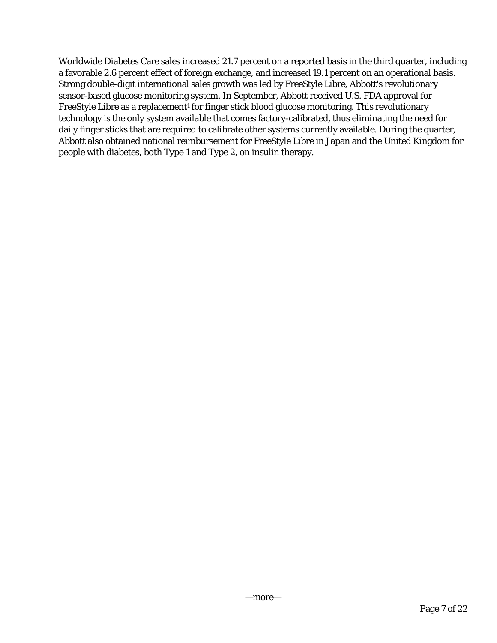Worldwide Diabetes Care sales increased 21.7 percent on a reported basis in the third quarter, including a favorable 2.6 percent effect of foreign exchange, and increased 19.1 percent on an operational basis. Strong double-digit international sales growth was led by FreeStyle Libre, Abbott's revolutionary sensor-based glucose monitoring system. In September, Abbott received U.S. FDA approval for FreeStyle Libre as a replacement<sup>1</sup> for finger stick blood glucose monitoring. This revolutionary technology is the only system available that comes factory-calibrated, thus eliminating the need for daily finger sticks that are required to calibrate other systems currently available. During the quarter, Abbott also obtained national reimbursement for FreeStyle Libre in Japan and the United Kingdom for people with diabetes, both Type 1 and Type 2, on insulin therapy.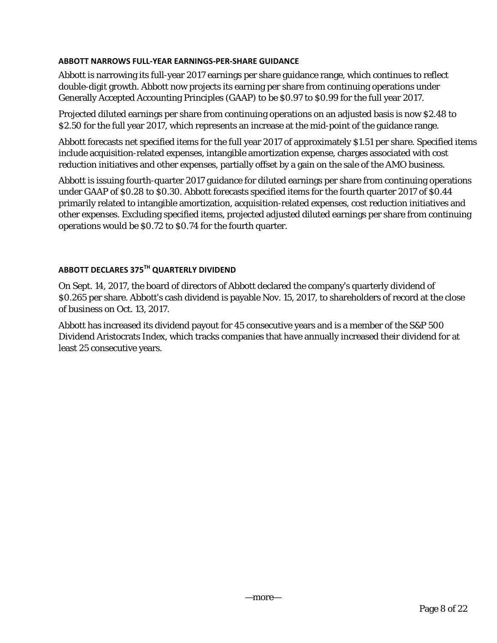## **ABBOTT NARROWS FULL‐YEAR EARNINGS‐PER‐SHARE GUIDANCE**

Abbott is narrowing its full-year 2017 earnings per share guidance range, which continues to reflect double-digit growth. Abbott now projects its earning per share from continuing operations under Generally Accepted Accounting Principles (GAAP) to be \$0.97 to \$0.99 for the full year 2017.

Projected diluted earnings per share from continuing operations on an adjusted basis is now \$2.48 to \$2.50 for the full year 2017, which represents an increase at the mid-point of the guidance range.

Abbott forecasts net specified items for the full year 2017 of approximately \$1.51 per share. Specified items include acquisition-related expenses, intangible amortization expense, charges associated with cost reduction initiatives and other expenses, partially offset by a gain on the sale of the AMO business.

Abbott is issuing fourth-quarter 2017 guidance for diluted earnings per share from continuing operations under GAAP of \$0.28 to \$0.30. Abbott forecasts specified items for the fourth quarter 2017 of \$0.44 primarily related to intangible amortization, acquisition-related expenses, cost reduction initiatives and other expenses. Excluding specified items, projected adjusted diluted earnings per share from continuing operations would be \$0.72 to \$0.74 for the fourth quarter.

# **ABBOTT DECLARES 375TH QUARTERLY DIVIDEND**

On Sept. 14, 2017, the board of directors of Abbott declared the company's quarterly dividend of \$0.265 per share. Abbott's cash dividend is payable Nov. 15, 2017, to shareholders of record at the close of business on Oct. 13, 2017.

Abbott has increased its dividend payout for 45 consecutive years and is a member of the S&P 500 Dividend Aristocrats Index, which tracks companies that have annually increased their dividend for at least 25 consecutive years.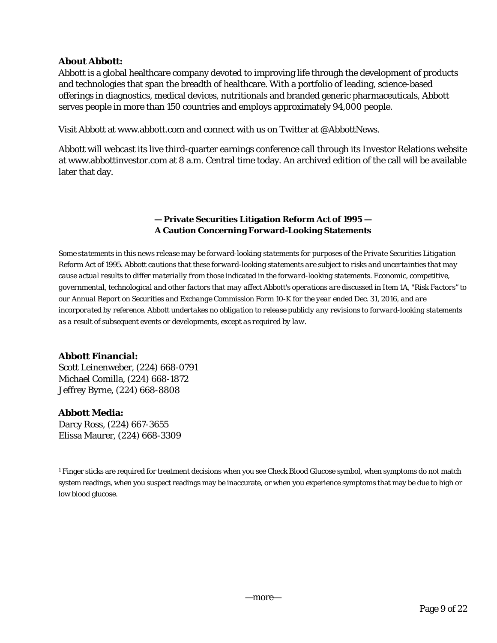# **About Abbott:**

Abbott is a global healthcare company devoted to improving life through the development of products and technologies that span the breadth of healthcare. With a portfolio of leading, science-based offerings in diagnostics, medical devices, nutritionals and branded generic pharmaceuticals, Abbott serves people in more than 150 countries and employs approximately 94,000 people.

Visit Abbott at www.abbott.com and connect with us on Twitter at @AbbottNews.

Abbott will webcast its live third-quarter earnings conference call through its Investor Relations website at www.abbottinvestor.com at 8 a.m. Central time today. An archived edition of the call will be available later that day.

# **— Private Securities Litigation Reform Act of 1995 — A Caution Concerning Forward-Looking Statements**

*Some statements in this news release may be forward-looking statements for purposes of the Private Securities Litigation Reform Act of 1995. Abbott cautions that these forward-looking statements are subject to risks and uncertainties that may cause actual results to differ materially from those indicated in the forward-looking statements. Economic, competitive, governmental, technological and other factors that may affect Abbott's operations are discussed in Item 1A, "Risk Factors'' to our Annual Report on Securities and Exchange Commission Form 10-K for the year ended Dec. 31, 2016, and are incorporated by reference. Abbott undertakes no obligation to release publicly any revisions to forward-looking statements as a result of subsequent events or developments, except as required by law.* 

# **Abbott Financial:**

Scott Leinenweber, (224) 668-0791 Michael Comilla, (224) 668-1872 Jeffrey Byrne, (224) 668-8808

# **Abbott Media:**

Darcy Ross, (224) 667-3655 Elissa Maurer, (224) 668-3309

<sup>1</sup> Finger sticks are required for treatment decisions when you see Check Blood Glucose symbol, when symptoms do not match system readings, when you suspect readings may be inaccurate, or when you experience symptoms that may be due to high or low blood glucose.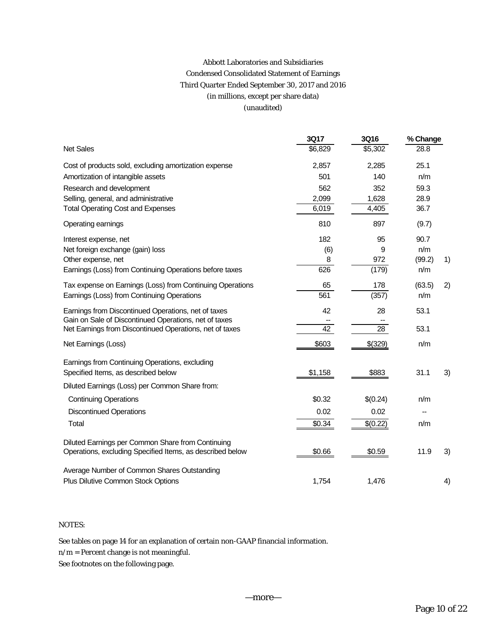# Abbott Laboratories and Subsidiaries Condensed Consolidated Statement of Earnings Third Quarter Ended September 30, 2017 and 2016 (in millions, except per share data) (unaudited)

|                                                           | <b>3Q17</b> | <b>3Q16</b> | % Change |    |
|-----------------------------------------------------------|-------------|-------------|----------|----|
| <b>Net Sales</b>                                          | \$6,829     | \$5,302     | 28.8     |    |
| Cost of products sold, excluding amortization expense     | 2,857       | 2,285       | 25.1     |    |
| Amortization of intangible assets                         | 501         | 140         | n/m      |    |
| Research and development                                  | 562         | 352         | 59.3     |    |
| Selling, general, and administrative                      | 2,099       | 1,628       | 28.9     |    |
| <b>Total Operating Cost and Expenses</b>                  | 6,019       | 4,405       | 36.7     |    |
| Operating earnings                                        | 810         | 897         | (9.7)    |    |
| Interest expense, net                                     | 182         | 95          | 90.7     |    |
| Net foreign exchange (gain) loss                          | (6)         | 9           | n/m      |    |
| Other expense, net                                        | 8           | 972         | (99.2)   | 1) |
| Earnings (Loss) from Continuing Operations before taxes   | 626         | (179)       | n/m      |    |
| Tax expense on Earnings (Loss) from Continuing Operations | 65          | 178         | (63.5)   | 2) |
| Earnings (Loss) from Continuing Operations                | 561         | (357)       | n/m      |    |
| Earnings from Discontinued Operations, net of taxes       | 42          | 28          | 53.1     |    |
| Gain on Sale of Discontinued Operations, net of taxes     |             |             |          |    |
| Net Earnings from Discontinued Operations, net of taxes   | 42          | 28          | 53.1     |    |
| Net Earnings (Loss)                                       | \$603       | \$(329)     | n/m      |    |
| Earnings from Continuing Operations, excluding            |             |             |          |    |
| Specified Items, as described below                       | \$1,158     | \$883       | 31.1     | 3) |
| Diluted Earnings (Loss) per Common Share from:            |             |             |          |    |
| <b>Continuing Operations</b>                              | \$0.32      | \$(0.24)    | n/m      |    |
| <b>Discontinued Operations</b>                            | 0.02        | 0.02        |          |    |
| Total                                                     | \$0.34      | \$(0.22)    | n/m      |    |
| Diluted Earnings per Common Share from Continuing         |             |             |          |    |
| Operations, excluding Specified Items, as described below | \$0.66      | \$0.59      | 11.9     | 3) |
| Average Number of Common Shares Outstanding               |             |             |          |    |
| Plus Dilutive Common Stock Options                        | 1,754       | 1,476       |          | 4) |

### NOTES:

See tables on page 14 for an explanation of certain non-GAAP financial information.

n/m = Percent change is not meaningful.

See footnotes on the following page.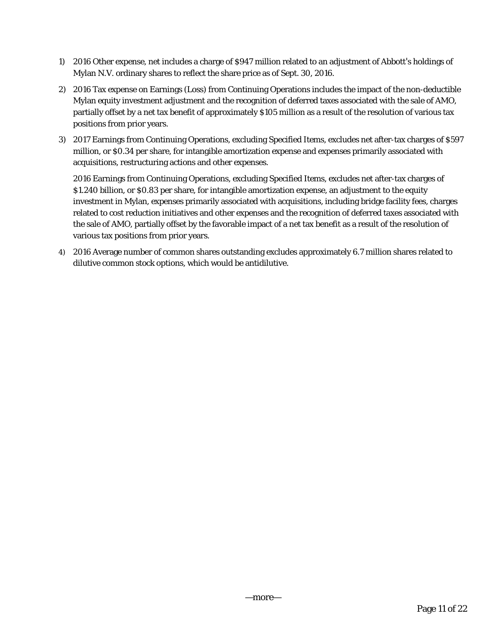- 1) 2016 Other expense, net includes a charge of \$947 million related to an adjustment of Abbott's holdings of Mylan N.V. ordinary shares to reflect the share price as of Sept. 30, 2016.
- 2) 2016 Tax expense on Earnings (Loss) from Continuing Operations includes the impact of the non-deductible Mylan equity investment adjustment and the recognition of deferred taxes associated with the sale of AMO, partially offset by a net tax benefit of approximately \$105 million as a result of the resolution of various tax positions from prior years.
- 3) 2017 Earnings from Continuing Operations, excluding Specified Items, excludes net after-tax charges of \$597 million, or \$0.34 per share, for intangible amortization expense and expenses primarily associated with acquisitions, restructuring actions and other expenses.

2016 Earnings from Continuing Operations, excluding Specified Items, excludes net after-tax charges of \$1.240 billion, or \$0.83 per share, for intangible amortization expense, an adjustment to the equity investment in Mylan, expenses primarily associated with acquisitions, including bridge facility fees, charges related to cost reduction initiatives and other expenses and the recognition of deferred taxes associated with the sale of AMO, partially offset by the favorable impact of a net tax benefit as a result of the resolution of various tax positions from prior years.

4) 2016 Average number of common shares outstanding excludes approximately 6.7 million shares related to dilutive common stock options, which would be antidilutive.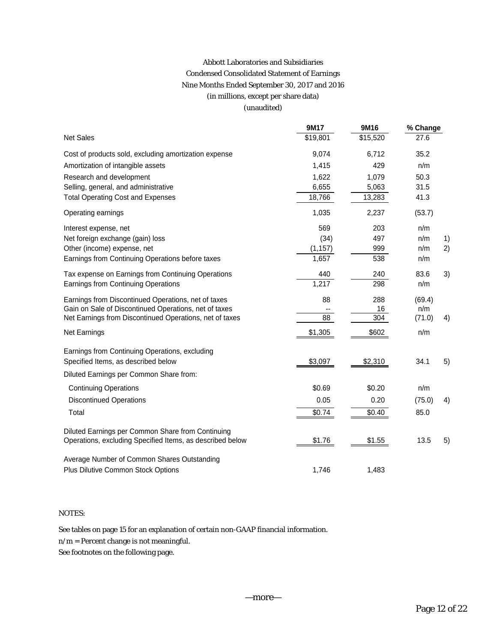# Abbott Laboratories and Subsidiaries Condensed Consolidated Statement of Earnings Nine Months Ended September 30, 2017 and 2016 (in millions, except per share data) (unaudited)

|                                                           | <b>9M17</b> | 9M16     | % Change |    |
|-----------------------------------------------------------|-------------|----------|----------|----|
| <b>Net Sales</b>                                          | \$19,801    | \$15,520 | 27.6     |    |
| Cost of products sold, excluding amortization expense     | 9,074       | 6,712    | 35.2     |    |
| Amortization of intangible assets                         | 1,415       | 429      | n/m      |    |
| Research and development                                  | 1,622       | 1,079    | 50.3     |    |
| Selling, general, and administrative                      | 6,655       | 5,063    | 31.5     |    |
| <b>Total Operating Cost and Expenses</b>                  | 18,766      | 13,283   | 41.3     |    |
| Operating earnings                                        | 1,035       | 2,237    | (53.7)   |    |
| Interest expense, net                                     | 569         | 203      | n/m      |    |
| Net foreign exchange (gain) loss                          | (34)        | 497      | n/m      | 1) |
| Other (income) expense, net                               | (1, 157)    | 999      | n/m      | 2) |
| Earnings from Continuing Operations before taxes          | 1,657       | 538      | n/m      |    |
| Tax expense on Earnings from Continuing Operations        | 440         | 240      | 83.6     | 3) |
| Earnings from Continuing Operations                       | 1,217       | 298      | n/m      |    |
| Earnings from Discontinued Operations, net of taxes       | 88          | 288      | (69.4)   |    |
| Gain on Sale of Discontinued Operations, net of taxes     |             | 16       | n/m      |    |
| Net Earnings from Discontinued Operations, net of taxes   | 88          | 304      | (71.0)   | 4) |
| Net Earnings                                              | \$1,305     | \$602    | n/m      |    |
| Earnings from Continuing Operations, excluding            |             |          |          |    |
| Specified Items, as described below                       | \$3,097     | \$2,310  | 34.1     | 5) |
| Diluted Earnings per Common Share from:                   |             |          |          |    |
| <b>Continuing Operations</b>                              | \$0.69      | \$0.20   | n/m      |    |
| <b>Discontinued Operations</b>                            | 0.05        | 0.20     | (75.0)   | 4) |
| Total                                                     | \$0.74      | \$0.40   | 85.0     |    |
| Diluted Earnings per Common Share from Continuing         |             |          |          |    |
| Operations, excluding Specified Items, as described below | \$1.76      | \$1.55   | 13.5     | 5) |
| Average Number of Common Shares Outstanding               |             |          |          |    |
| Plus Dilutive Common Stock Options                        | 1,746       | 1,483    |          |    |

#### NOTES:

See tables on page 15 for an explanation of certain non-GAAP financial information.

n/m = Percent change is not meaningful.

See footnotes on the following page.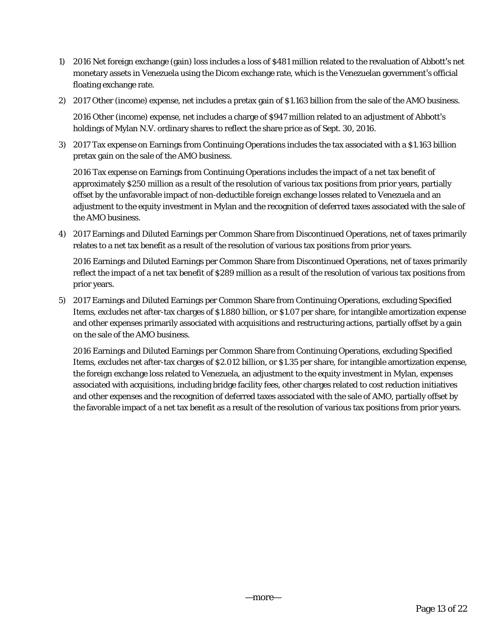- 1) 2016 Net foreign exchange (gain) loss includes a loss of \$481 million related to the revaluation of Abbott's net monetary assets in Venezuela using the Dicom exchange rate, which is the Venezuelan government's official floating exchange rate.
- 2) 2017 Other (income) expense, net includes a pretax gain of \$1.163 billion from the sale of the AMO business.

2016 Other (income) expense, net includes a charge of \$947 million related to an adjustment of Abbott's holdings of Mylan N.V. ordinary shares to reflect the share price as of Sept. 30, 2016.

3) 2017 Tax expense on Earnings from Continuing Operations includes the tax associated with a \$1.163 billion pretax gain on the sale of the AMO business.

2016 Tax expense on Earnings from Continuing Operations includes the impact of a net tax benefit of approximately \$250 million as a result of the resolution of various tax positions from prior years, partially offset by the unfavorable impact of non-deductible foreign exchange losses related to Venezuela and an adjustment to the equity investment in Mylan and the recognition of deferred taxes associated with the sale of the AMO business.

4) 2017 Earnings and Diluted Earnings per Common Share from Discontinued Operations, net of taxes primarily relates to a net tax benefit as a result of the resolution of various tax positions from prior years.

2016 Earnings and Diluted Earnings per Common Share from Discontinued Operations, net of taxes primarily reflect the impact of a net tax benefit of \$289 million as a result of the resolution of various tax positions from prior years.

5) 2017 Earnings and Diluted Earnings per Common Share from Continuing Operations, excluding Specified Items, excludes net after-tax charges of \$1.880 billion, or \$1.07 per share, for intangible amortization expense and other expenses primarily associated with acquisitions and restructuring actions, partially offset by a gain on the sale of the AMO business.

2016 Earnings and Diluted Earnings per Common Share from Continuing Operations, excluding Specified Items, excludes net after-tax charges of \$2.012 billion, or \$1.35 per share, for intangible amortization expense, the foreign exchange loss related to Venezuela, an adjustment to the equity investment in Mylan, expenses associated with acquisitions, including bridge facility fees, other charges related to cost reduction initiatives and other expenses and the recognition of deferred taxes associated with the sale of AMO, partially offset by the favorable impact of a net tax benefit as a result of the resolution of various tax positions from prior years.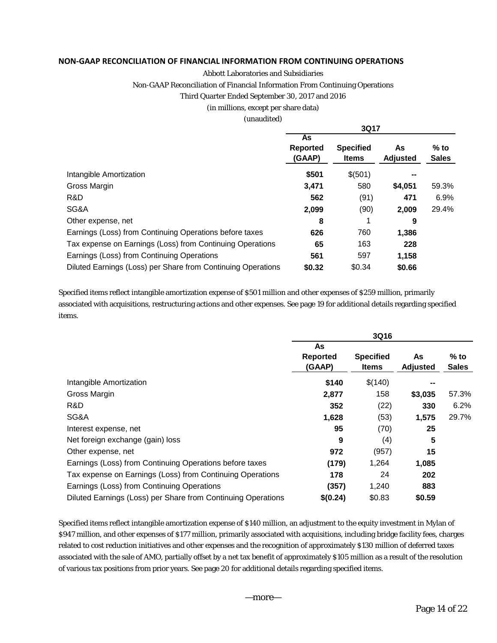#### **NON‐GAAP RECONCILIATION OF FINANCIAL INFORMATION FROM CONTINUING OPERATIONS**

#### Abbott Laboratories and Subsidiaries

Non-GAAP Reconciliation of Financial Information From Continuing Operations

#### Third Quarter Ended September 30, 2017 and 2016

#### (in millions, except per share data)

#### (unaudited)

|                                                              |                                 | 3Q17                             |                       |                        |
|--------------------------------------------------------------|---------------------------------|----------------------------------|-----------------------|------------------------|
|                                                              | As<br><b>Reported</b><br>(GAAP) | <b>Specified</b><br><b>Items</b> | As<br><b>Adjusted</b> | $%$ to<br><b>Sales</b> |
| Intangible Amortization                                      | \$501                           | \$(501)                          |                       |                        |
| Gross Margin                                                 | 3,471                           | 580                              | \$4,051               | 59.3%                  |
| R&D                                                          | 562                             | (91)                             | 471                   | 6.9%                   |
| SG&A                                                         | 2,099                           | (90)                             | 2,009                 | 29.4%                  |
| Other expense, net                                           | 8                               | 1                                | 9                     |                        |
| Earnings (Loss) from Continuing Operations before taxes      | 626                             | 760                              | 1,386                 |                        |
| Tax expense on Earnings (Loss) from Continuing Operations    | 65                              | 163                              | 228                   |                        |
| Earnings (Loss) from Continuing Operations                   | 561                             | 597                              | 1,158                 |                        |
| Diluted Earnings (Loss) per Share from Continuing Operations | \$0.32                          | \$0.34                           | \$0.66                |                        |

Specified items reflect intangible amortization expense of \$501 million and other expenses of \$259 million, primarily associated with acquisitions, restructuring actions and other expenses. See page 19 for additional details regarding specified items.

|                                                              |                                 | 3Q16                      |                       |                      |
|--------------------------------------------------------------|---------------------------------|---------------------------|-----------------------|----------------------|
|                                                              | As<br><b>Reported</b><br>(GAAP) | <b>Specified</b><br>Items | As<br><b>Adjusted</b> | % to<br><b>Sales</b> |
| Intangible Amortization                                      | \$140                           | \$(140)                   | --                    |                      |
| Gross Margin                                                 | 2,877                           | 158                       | \$3,035               | 57.3%                |
| R&D                                                          | 352                             | (22)                      | 330                   | 6.2%                 |
| SG&A                                                         | 1,628                           | (53)                      | 1,575                 | 29.7%                |
| Interest expense, net                                        | 95                              | (70)                      | 25                    |                      |
| Net foreign exchange (gain) loss                             | 9                               | (4)                       | 5                     |                      |
| Other expense, net                                           | 972                             | (957)                     | 15                    |                      |
| Earnings (Loss) from Continuing Operations before taxes      | (179)                           | 1,264                     | 1,085                 |                      |
| Tax expense on Earnings (Loss) from Continuing Operations    | 178                             | 24                        | 202                   |                      |
| Earnings (Loss) from Continuing Operations                   | (357)                           | 1,240                     | 883                   |                      |
| Diluted Earnings (Loss) per Share from Continuing Operations | \$(0.24)                        | \$0.83                    | \$0.59                |                      |

Specified items reflect intangible amortization expense of \$140 million, an adjustment to the equity investment in Mylan of \$947 million, and other expenses of \$177 million, primarily associated with acquisitions, including bridge facility fees, charges related to cost reduction initiatives and other expenses and the recognition of approximately \$130 million of deferred taxes associated with the sale of AMO, partially offset by a net tax benefit of approximately \$105 million as a result of the resolution of various tax positions from prior years. See page 20 for additional details regarding specified items.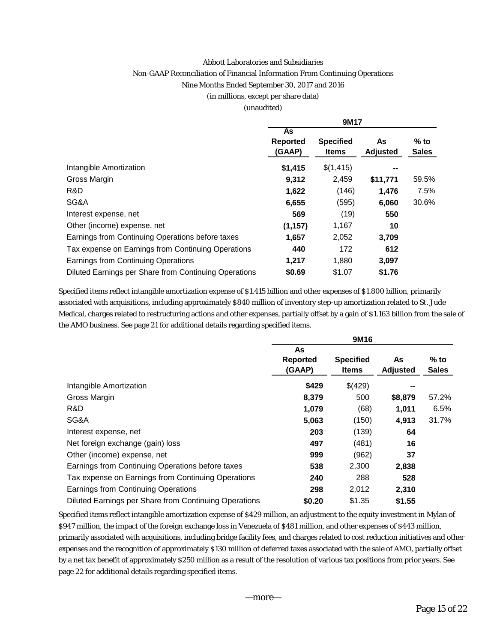#### Abbott Laboratories and Subsidiaries

#### Non-GAAP Reconciliation of Financial Information From Continuing Operations

#### Nine Months Ended September 30, 2017 and 2016

#### (in millions, except per share data)

#### (unaudited)

|                                                       | 9M17                            |                                  |                       |                        |  |  |  |  |  |
|-------------------------------------------------------|---------------------------------|----------------------------------|-----------------------|------------------------|--|--|--|--|--|
|                                                       | As<br><b>Reported</b><br>(GAAP) | <b>Specified</b><br><b>Items</b> | As<br><b>Adjusted</b> | $%$ to<br><b>Sales</b> |  |  |  |  |  |
| Intangible Amortization                               | \$1,415                         | \$(1,415)                        | --                    |                        |  |  |  |  |  |
| Gross Margin                                          | 9,312                           | 2,459                            | \$11,771              | 59.5%                  |  |  |  |  |  |
| R&D                                                   | 1,622                           | (146)                            | 1.476                 | 7.5%                   |  |  |  |  |  |
| SG&A                                                  | 6,655                           | (595)                            | 6,060                 | 30.6%                  |  |  |  |  |  |
| Interest expense, net                                 | 569                             | (19)                             | 550                   |                        |  |  |  |  |  |
| Other (income) expense, net                           | (1, 157)                        | 1,167                            | 10                    |                        |  |  |  |  |  |
| Earnings from Continuing Operations before taxes      | 1,657                           | 2,052                            | 3,709                 |                        |  |  |  |  |  |
| Tax expense on Earnings from Continuing Operations    | 440                             | 172                              | 612                   |                        |  |  |  |  |  |
| <b>Earnings from Continuing Operations</b>            | 1,217                           | 1,880                            | 3,097                 |                        |  |  |  |  |  |
| Diluted Earnings per Share from Continuing Operations | \$0.69                          | \$1.07                           | \$1.76                |                        |  |  |  |  |  |

Specified items reflect intangible amortization expense of \$1.415 billion and other expenses of \$1.800 billion, primarily associated with acquisitions, including approximately \$840 million of inventory step-up amortization related to St. Jude Medical, charges related to restructuring actions and other expenses, partially offset by a gain of \$1.163 billion from the sale of the AMO business. See page 21 for additional details regarding specified items.

|                                                       |                                 | 9M16                             |                       |                        |
|-------------------------------------------------------|---------------------------------|----------------------------------|-----------------------|------------------------|
|                                                       | As<br><b>Reported</b><br>(GAAP) | <b>Specified</b><br><b>Items</b> | As<br><b>Adjusted</b> | $%$ to<br><b>Sales</b> |
| Intangible Amortization                               | \$429                           | \$(429)                          |                       |                        |
| Gross Margin                                          | 8,379                           | 500                              | \$8,879               | 57.2%                  |
| R&D                                                   | 1,079                           | (68)                             | 1,011                 | 6.5%                   |
| SG&A                                                  | 5,063                           | (150)                            | 4,913                 | 31.7%                  |
| Interest expense, net                                 | 203                             | (139)                            | 64                    |                        |
| Net foreign exchange (gain) loss                      | 497                             | (481)                            | 16                    |                        |
| Other (income) expense, net                           | 999                             | (962)                            | 37                    |                        |
| Earnings from Continuing Operations before taxes      | 538                             | 2,300                            | 2,838                 |                        |
| Tax expense on Earnings from Continuing Operations    | 240                             | 288                              | 528                   |                        |
| Earnings from Continuing Operations                   | 298                             | 2,012                            | 2,310                 |                        |
| Diluted Earnings per Share from Continuing Operations | \$0.20                          | \$1.35                           | \$1.55                |                        |

Specified items reflect intangible amortization expense of \$429 million, an adjustment to the equity investment in Mylan of \$947 million, the impact of the foreign exchange loss in Venezuela of \$481 million, and other expenses of \$443 million, primarily associated with acquisitions, including bridge facility fees, and charges related to cost reduction initiatives and other expenses and the recognition of approximately \$130 million of deferred taxes associated with the sale of AMO, partially offset by a net tax benefit of approximately \$250 million as a result of the resolution of various tax positions from prior years. See page 22 for additional details regarding specified items.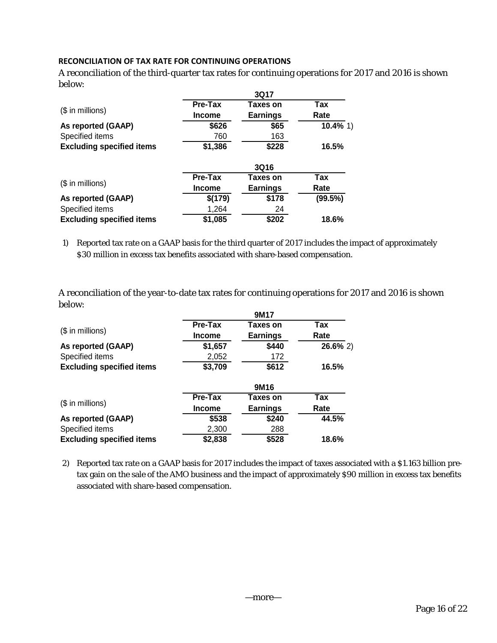## **RECONCILIATION OF TAX RATE FOR CONTINUING OPERATIONS**

A reconciliation of the third-quarter tax rates for continuing operations for 2017 and 2016 is shown below:

|                                  | 3Q17           |                 |             |  |  |  |  |  |  |
|----------------------------------|----------------|-----------------|-------------|--|--|--|--|--|--|
|                                  | <b>Pre-Tax</b> | Taxes on        | <b>Tax</b>  |  |  |  |  |  |  |
| $($$ in millions)                | <b>Income</b>  | <b>Earnings</b> | Rate        |  |  |  |  |  |  |
| As reported (GAAP)               | \$626          | \$65            | $10.4\%$ 1) |  |  |  |  |  |  |
| Specified items                  | 760            | 163             |             |  |  |  |  |  |  |
| <b>Excluding specified items</b> | \$1,386        | \$228           | 16.5%       |  |  |  |  |  |  |
|                                  |                | <b>3Q16</b>     |             |  |  |  |  |  |  |
|                                  | <b>Pre-Tax</b> | Taxes on        | <b>Tax</b>  |  |  |  |  |  |  |
| (\$ in millions)                 | <b>Income</b>  | <b>Earnings</b> | Rate        |  |  |  |  |  |  |
| As reported (GAAP)               | \$(179)        | \$178           | (99.5%)     |  |  |  |  |  |  |
| Specified items                  | 1,264          | 24              |             |  |  |  |  |  |  |
| <b>Excluding specified items</b> | \$1,085        | \$202           | 18.6%       |  |  |  |  |  |  |

1) Reported tax rate on a GAAP basis for the third quarter of 2017 includes the impact of approximately \$30 million in excess tax benefits associated with share-based compensation.

A reconciliation of the year-to-date tax rates for continuing operations for 2017 and 2016 is shown below:

|                                  |                | 9M17            |             |  |  |  |  |  |  |  |
|----------------------------------|----------------|-----------------|-------------|--|--|--|--|--|--|--|
|                                  | <b>Pre-Tax</b> | Taxes on        | Tax         |  |  |  |  |  |  |  |
| $$$ in millions)                 | <b>Income</b>  | <b>Earnings</b> | Rate        |  |  |  |  |  |  |  |
| As reported (GAAP)               | \$1,657        | \$440           | $26.6\%$ 2) |  |  |  |  |  |  |  |
| Specified items                  | 2,052          | 172             |             |  |  |  |  |  |  |  |
| <b>Excluding specified items</b> | \$3,709        | \$612           | 16.5%       |  |  |  |  |  |  |  |
|                                  |                | 9M16            |             |  |  |  |  |  |  |  |
|                                  | <b>Pre-Tax</b> | Taxes on        | Tax         |  |  |  |  |  |  |  |
| $($$ in millions)                | <b>Income</b>  | <b>Earnings</b> | Rate        |  |  |  |  |  |  |  |
| As reported (GAAP)               | \$538          | \$240           | 44.5%       |  |  |  |  |  |  |  |
| Specified items                  | 2,300          | 288             |             |  |  |  |  |  |  |  |
| <b>Excluding specified items</b> | \$2,838        | \$528           | 18.6%       |  |  |  |  |  |  |  |

2) Reported tax rate on a GAAP basis for 2017 includes the impact of taxes associated with a \$1.163 billion pretax gain on the sale of the AMO business and the impact of approximately \$90 million in excess tax benefits associated with share-based compensation.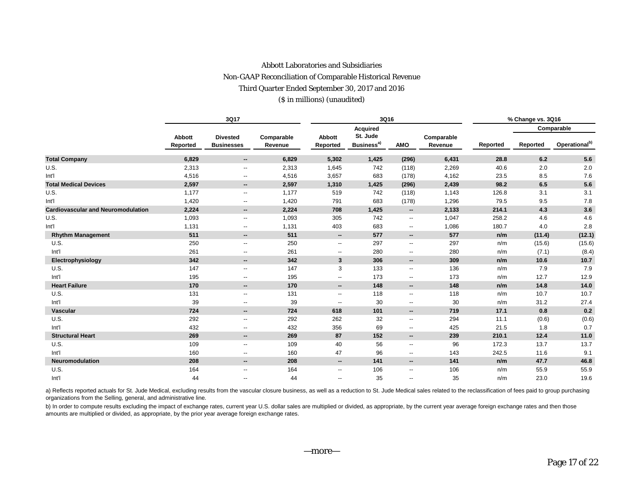## Abbott Laboratories and Subsidiaries Non-GAAP Reconciliation of Comparable Historical Revenue Third Quarter Ended September 30, 2017 and 2016 (\$ in millions) (unaudited)

|                                           |                           | 3Q17                                 |                       |                          | 3Q16                               |                          |                       | % Change vs. 3Q16 |          |                           |  |  |
|-------------------------------------------|---------------------------|--------------------------------------|-----------------------|--------------------------|------------------------------------|--------------------------|-----------------------|-------------------|----------|---------------------------|--|--|
|                                           |                           |                                      |                       |                          | <b>Acquired</b>                    |                          |                       |                   |          | Comparable                |  |  |
|                                           | <b>Abbott</b><br>Reported | <b>Divested</b><br><b>Businesses</b> | Comparable<br>Revenue | Abbott<br>Reported       | St. Jude<br>Business <sup>a)</sup> | <b>AMO</b>               | Comparable<br>Revenue | Reported          | Reported | Operational <sup>b)</sup> |  |  |
| <b>Total Company</b>                      | 6,829                     | --                                   | 6,829                 | 5,302                    | 1,425                              | (296)                    | 6,431                 | 28.8              | 6.2      | 5.6                       |  |  |
| U.S.                                      | 2,313                     | --                                   | 2,313                 | 1,645                    | 742                                | (118)                    | 2,269                 | 40.6              | 2.0      | 2.0                       |  |  |
| Int'l                                     | 4,516                     | --                                   | 4,516                 | 3,657                    | 683                                | (178)                    | 4,162                 | 23.5              | 8.5      | 7.6                       |  |  |
| <b>Total Medical Devices</b>              | 2,597                     | ۰.                                   | 2,597                 | 1,310                    | 1,425                              | (296)                    | 2,439                 | 98.2              | 6.5      | 5.6                       |  |  |
| U.S.                                      | 1,177                     | $\overline{\phantom{a}}$             | 1,177                 | 519                      | 742                                | (118)                    | 1,143                 | 126.8             | 3.1      | 3.1                       |  |  |
| Int'l                                     | 1,420                     | --                                   | 1,420                 | 791                      | 683                                | (178)                    | 1,296                 | 79.5              | 9.5      | 7.8                       |  |  |
| <b>Cardiovascular and Neuromodulation</b> | 2,224                     | --                                   | 2,224                 | 708                      | 1,425                              | $\overline{\phantom{a}}$ | 2,133                 | 214.1             | 4.3      | 3.6                       |  |  |
| U.S.                                      | 1,093                     | $\overline{\phantom{a}}$             | 1,093                 | 305                      | 742                                | $\overline{\phantom{a}}$ | 1,047                 | 258.2             | 4.6      | 4.6                       |  |  |
| Int'l                                     | 1,131                     | --                                   | 1,131                 | 403                      | 683                                | $\overline{\phantom{a}}$ | 1,086                 | 180.7             | 4.0      | 2.8                       |  |  |
| <b>Rhythm Management</b>                  | 511                       | --                                   | 511                   | $\overline{\phantom{a}}$ | 577                                | $\overline{\phantom{a}}$ | 577                   | n/m               | (11.4)   | (12.1)                    |  |  |
| U.S.                                      | 250                       | $\overline{\phantom{a}}$             | 250                   | --                       | 297                                | $\overline{\phantom{a}}$ | 297                   | n/m               | (15.6)   | (15.6)                    |  |  |
| Int'l                                     | 261                       | --                                   | 261                   | $\overline{\phantom{a}}$ | 280                                | $\overline{\phantom{a}}$ | 280                   | n/m               | (7.1)    | (8.4)                     |  |  |
| Electrophysiology                         | 342                       | --                                   | 342                   | 3                        | 306                                | $\overline{\phantom{a}}$ | 309                   | n/m               | 10.6     | 10.7                      |  |  |
| U.S.                                      | 147                       | $\overline{\phantom{a}}$             | 147                   | 3                        | 133                                | $\overline{\phantom{a}}$ | 136                   | n/m               | 7.9      | 7.9                       |  |  |
| Int'l                                     | 195                       | --                                   | 195                   | $\overline{\phantom{a}}$ | 173                                | $\overline{\phantom{a}}$ | 173                   | n/m               | 12.7     | 12.9                      |  |  |
| <b>Heart Failure</b>                      | 170                       | --                                   | 170                   | --                       | 148                                | $\overline{\phantom{a}}$ | 148                   | n/m               | 14.8     | 14.0                      |  |  |
| U.S.                                      | 131                       | $\overline{\phantom{a}}$             | 131                   | $\overline{\phantom{a}}$ | 118                                | $\overline{\phantom{a}}$ | 118                   | n/m               | 10.7     | 10.7                      |  |  |
| Int'l                                     | 39                        | --                                   | 39                    | $\overline{\phantom{a}}$ | 30                                 | $\overline{\phantom{a}}$ | 30                    | n/m               | 31.2     | 27.4                      |  |  |
| Vascular                                  | 724                       | --                                   | 724                   | 618                      | 101                                | $\overline{\phantom{a}}$ | 719                   | 17.1              | 0.8      | 0.2                       |  |  |
| U.S.                                      | 292                       | --                                   | 292                   | 262                      | 32                                 | $\overline{\phantom{a}}$ | 294                   | 11.1              | (0.6)    | (0.6)                     |  |  |
| Int'l                                     | 432                       | --                                   | 432                   | 356                      | 69                                 | $\overline{\phantom{a}}$ | 425                   | 21.5              | 1.8      | 0.7                       |  |  |
| <b>Structural Heart</b>                   | 269                       | ۰.                                   | 269                   | 87                       | 152                                | $\overline{\phantom{a}}$ | 239                   | 210.1             | 12.4     | 11.0                      |  |  |
| U.S.                                      | 109                       | --                                   | 109                   | 40                       | 56                                 | $\overline{\phantom{a}}$ | 96                    | 172.3             | 13.7     | 13.7                      |  |  |
| Int'l                                     | 160                       | --                                   | 160                   | 47                       | 96                                 | $\overline{\phantom{a}}$ | 143                   | 242.5             | 11.6     | 9.1                       |  |  |
| Neuromodulation                           | 208                       | $\overline{\phantom{a}}$             | 208                   | $\overline{\phantom{a}}$ | 141                                | $\overline{\phantom{a}}$ | 141                   | n/m               | 47.7     | 46.8                      |  |  |
| U.S.                                      | 164                       | $\overline{\phantom{a}}$             | 164                   | $\overline{\phantom{a}}$ | 106                                | $\overline{\phantom{a}}$ | 106                   | n/m               | 55.9     | 55.9                      |  |  |
| Int'l                                     | 44                        | $\overline{\phantom{a}}$             | 44                    | ۰.                       | 35                                 | $\overline{\phantom{a}}$ | 35                    | n/m               | 23.0     | 19.6                      |  |  |

a) Reflects reported actuals for St. Jude Medical, excluding results from the vascular closure business, as well as a reduction to St. Jude Medical sales related to the reclassification of fees paid to group purchasing organizations from the Selling, general, and administrative line.

b) In order to compute results excluding the impact of exchange rates, current year U.S. dollar sales are multiplied or divided, as appropriate, by the current year average foreign exchange rates and then those amounts are multiplied or divided, as appropriate, by the prior year average foreign exchange rates.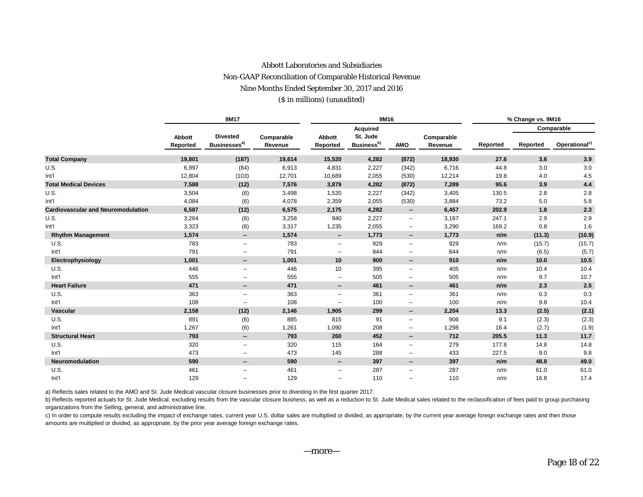## Abbott Laboratories and Subsidiaries Non-GAAP Reconciliation of Comparable Historical Revenue Nine Months Ended September 30, 2017 and 2016 (\$ in millions) (unaudited)

|                                           |                    | 9M17                                        |                       |                          | 9M16                               |                          |                       | % Change vs. 9M16 |          |                           |  |  |
|-------------------------------------------|--------------------|---------------------------------------------|-----------------------|--------------------------|------------------------------------|--------------------------|-----------------------|-------------------|----------|---------------------------|--|--|
|                                           |                    |                                             |                       |                          | <b>Acquired</b>                    |                          |                       |                   |          | Comparable                |  |  |
|                                           | Abbott<br>Reported | <b>Divested</b><br>Businesses <sup>a)</sup> | Comparable<br>Revenue | Abbott<br>Reported       | St. Jude<br>Business <sup>b)</sup> | AMO                      | Comparable<br>Revenue | Reported          | Reported | Operational <sup>c)</sup> |  |  |
| <b>Total Company</b>                      | 19,801             | (187)                                       | 19,614                | 15,520                   | 4,282                              | (872)                    | 18,930                | 27.6              | 3.6      | 3.9                       |  |  |
| U.S.                                      | 6,997              | (84)                                        | 6,913                 | 4,831                    | 2,227                              | (342)                    | 6,716                 | 44.8              | 3.0      | 3.0                       |  |  |
| Int'l                                     | 12,804             | (103)                                       | 12,701                | 10,689                   | 2,055                              | (530)                    | 12,214                | 19.8              | 4.0      | 4.5                       |  |  |
| <b>Total Medical Devices</b>              | 7,588              | (12)                                        | 7,576                 | 3,879                    | 4,282                              | (872)                    | 7,289                 | 95.6              | 3.9      | 4.4                       |  |  |
| U.S.                                      | 3,504              | (6)                                         | 3,498                 | 1,520                    | 2,227                              | (342)                    | 3,405                 | 130.5             | 2.8      | 2.8                       |  |  |
| Int'l                                     | 4,084              | (6)                                         | 4,078                 | 2,359                    | 2,055                              | (530)                    | 3,884                 | 73.2              | 5.0      | 5.8                       |  |  |
| <b>Cardiovascular and Neuromodulation</b> | 6,587              | (12)                                        | 6,575                 | 2,175                    | 4,282                              | $\overline{\phantom{a}}$ | 6,457                 | 202.9             | 1.8      | 2.3                       |  |  |
| U.S.                                      | 3,264              | (6)                                         | 3,258                 | 940                      | 2,227                              | $\overline{\phantom{a}}$ | 3,167                 | 247.1             | 2.9      | 2.9                       |  |  |
| Int'l                                     | 3,323              | (6)                                         | 3,317                 | 1,235                    | 2,055                              | $\overline{\phantom{a}}$ | 3,290                 | 169.2             | 0.8      | 1.6                       |  |  |
| <b>Rhythm Management</b>                  | 1,574              | $\overline{\phantom{a}}$                    | 1,574                 | --                       | 1,773                              | $\overline{\phantom{a}}$ | 1,773                 | n/m               | (11.3)   | (10.9)                    |  |  |
| U.S.                                      | 783                | $\overline{\phantom{a}}$                    | 783                   | $\overline{\phantom{a}}$ | 929                                | $\overline{\phantom{a}}$ | 929                   | n/m               | (15.7)   | (15.7)                    |  |  |
| Int'l                                     | 791                | $\overline{\phantom{a}}$                    | 791                   | $\overline{\phantom{a}}$ | 844                                | $\overline{\phantom{a}}$ | 844                   | n/m               | (6.5)    | (5.7)                     |  |  |
| Electrophysiology                         | 1,001              | $\overline{\phantom{a}}$                    | 1,001                 | 10                       | 900                                | $\overline{\phantom{a}}$ | 910                   | n/m               | 10.0     | 10.5                      |  |  |
| U.S.                                      | 446                | $\overline{\phantom{a}}$                    | 446                   | 10                       | 395                                | $\overline{\phantom{a}}$ | 405                   | n/m               | 10.4     | 10.4                      |  |  |
| Int'l                                     | 555                | $\overline{\phantom{a}}$                    | 555                   | $\overline{\phantom{a}}$ | 505                                | $- -$                    | 505                   | n/m               | 9.7      | 10.7                      |  |  |
| <b>Heart Failure</b>                      | 471                | $\overline{\phantom{a}}$                    | 471                   | --                       | 461                                | $\overline{\phantom{a}}$ | 461                   | n/m               | 2.3      | 2.5                       |  |  |
| U.S.                                      | 363                | $\overline{\phantom{a}}$                    | 363                   | $\overline{\phantom{a}}$ | 361                                | $\overline{\phantom{a}}$ | 361                   | n/m               | 0.3      | 0.3                       |  |  |
| Int'l                                     | 108                | $\overline{\phantom{a}}$                    | 108                   | $\overline{\phantom{a}}$ | 100                                | $\overline{\phantom{a}}$ | 100                   | n/m               | 9.8      | 10.4                      |  |  |
| <b>Vascular</b>                           | 2,158              | (12)                                        | 2,146                 | 1,905                    | 299                                | $\overline{\phantom{a}}$ | 2,204                 | 13.3              | (2.5)    | (2.1)                     |  |  |
| U.S.                                      | 891                | (6)                                         | 885                   | 815                      | 91                                 | $\overline{\phantom{a}}$ | 906                   | 9.1               | (2.3)    | (2.3)                     |  |  |
| Int'l                                     | 1,267              | (6)                                         | 1,261                 | 1,090                    | 208                                | $\overline{\phantom{a}}$ | 1,298                 | 16.4              | (2.7)    | (1.9)                     |  |  |
| <b>Structural Heart</b>                   | 793                | $\overline{\phantom{a}}$                    | 793                   | 260                      | 452                                | $\overline{\phantom{a}}$ | 712                   | 205.5             | 11.3     | 11.7                      |  |  |
| U.S.                                      | 320                | $\overline{\phantom{a}}$                    | 320                   | 115                      | 164                                | $\overline{\phantom{a}}$ | 279                   | 177.8             | 14.8     | 14.8                      |  |  |
| Int'l                                     | 473                | $\overline{\phantom{a}}$                    | 473                   | 145                      | 288                                | $\overline{\phantom{a}}$ | 433                   | 227.5             | 9.0      | 9.8                       |  |  |
| Neuromodulation                           | 590                | $\overline{\phantom{a}}$                    | 590                   | --                       | 397                                | $\overline{\phantom{a}}$ | 397                   | n/m               | 48.8     | 49.0                      |  |  |
| U.S.                                      | 461                | $\overline{\phantom{a}}$                    | 461                   | $\overline{\phantom{a}}$ | 287                                | $\overline{\phantom{a}}$ | 287                   | n/m               | 61.0     | 61.0                      |  |  |
| Int'l                                     | 129                | $\overline{\phantom{a}}$                    | 129                   | $\overline{\phantom{a}}$ | 110                                | $-$                      | 110                   | n/m               | 16.8     | 17.4                      |  |  |

a) Reflects sales related to the AMO and St. Jude Medical vascular closure businesses prior to divesting in the first quarter 2017.

b) Reflects reported actuals for St. Jude Medical, excluding results from the vascular closure business, as well as a reduction to St. Jude Medical sales related to the reclassification of fees paid to group purchasing organizations from the Selling, general, and administrative line.

c) In order to compute results excluding the impact of exchange rates, current year U.S. dollar sales are multiplied or divided, as appropriate, by the current year average foreign exchange rates and then those amounts are multiplied or divided, as appropriate, by the prior year average foreign exchange rates.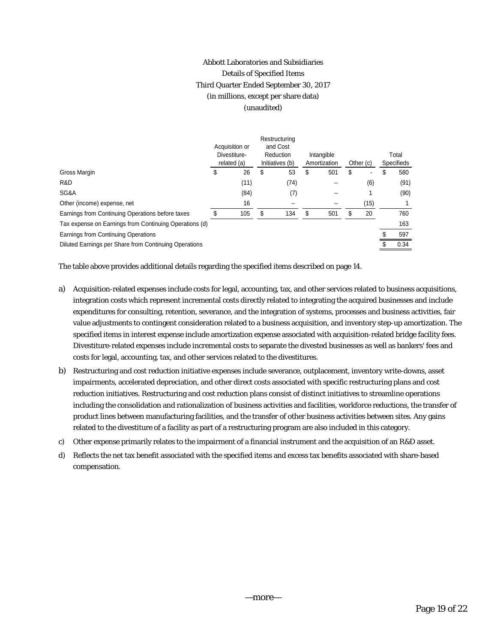# Abbott Laboratories and Subsidiaries Details of Specified Items Third Quarter Ended September 30, 2017 (in millions, except per share data) (unaudited)

|                                                        |    | Acquisition or<br>Divestiture-<br>related (a) |   | Restructuring<br>and Cost<br>Reduction<br>Initiatives (b) | Intangible<br>Amortization |    | Other (c)                |   | Total<br><b>Specifieds</b> |
|--------------------------------------------------------|----|-----------------------------------------------|---|-----------------------------------------------------------|----------------------------|----|--------------------------|---|----------------------------|
| Gross Margin                                           | \$ | 26                                            | S | 53                                                        | \$<br>501                  | \$ | $\overline{\phantom{a}}$ | S | 580                        |
| R&D                                                    |    | (11)                                          |   | (74)                                                      |                            |    | (6)                      |   | (91)                       |
| SG&A                                                   |    | (84)                                          |   | (7)                                                       | $\overline{\phantom{a}}$   |    |                          |   | (90)                       |
| Other (income) expense, net                            |    | 16                                            |   |                                                           |                            |    | (15)                     |   |                            |
| Earnings from Continuing Operations before taxes       |    | 105                                           |   | 134                                                       | \$<br>501                  | ደ  | 20                       |   | 760                        |
| Tax expense on Earnings from Continuing Operations (d) |    |                                               |   |                                                           |                            |    |                          |   | 163                        |
| Earnings from Continuing Operations                    |    |                                               |   |                                                           |                            |    |                          |   | 597                        |
| Diluted Earnings per Share from Continuing Operations  |    |                                               |   |                                                           |                            |    |                          |   | 0.34                       |

The table above provides additional details regarding the specified items described on page 14.

- a) Acquisition-related expenses include costs for legal, accounting, tax, and other services related to business acquisitions, integration costs which represent incremental costs directly related to integrating the acquired businesses and include expenditures for consulting, retention, severance, and the integration of systems, processes and business activities, fair value adjustments to contingent consideration related to a business acquisition, and inventory step-up amortization. The specified items in interest expense include amortization expense associated with acquisition-related bridge facility fees. Divestiture-related expenses include incremental costs to separate the divested businesses as well as bankers' fees and costs for legal, accounting, tax, and other services related to the divestitures.
- b) Restructuring and cost reduction initiative expenses include severance, outplacement, inventory write-downs, asset impairments, accelerated depreciation, and other direct costs associated with specific restructuring plans and cost reduction initiatives. Restructuring and cost reduction plans consist of distinct initiatives to streamline operations including the consolidation and rationalization of business activities and facilities, workforce reductions, the transfer of product lines between manufacturing facilities, and the transfer of other business activities between sites. Any gains related to the divestiture of a facility as part of a restructuring program are also included in this category.
- c) Other expense primarily relates to the impairment of a financial instrument and the acquisition of an R&D asset.
- d) Reflects the net tax benefit associated with the specified items and excess tax benefits associated with share-based compensation.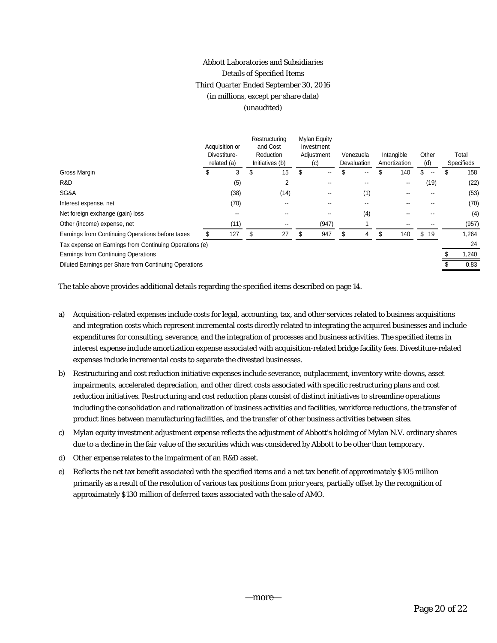# Abbott Laboratories and Subsidiaries Details of Specified Items Third Quarter Ended September 30, 2016 (in millions, except per share data) (unaudited)

|                                                        |    | Acquisition or<br>Divestiture-<br>related (a) |    | Restructuring<br>and Cost<br>Reduction<br>Initiatives (b) |   | <b>Mylan Equity</b><br>Investment<br>Adjustment<br>(c) |    | Venezuela<br>Devaluation |   | Intangible<br>Amortization | Other<br>(d) | Total<br>Specifieds |       |
|--------------------------------------------------------|----|-----------------------------------------------|----|-----------------------------------------------------------|---|--------------------------------------------------------|----|--------------------------|---|----------------------------|--------------|---------------------|-------|
| Gross Margin                                           | \$ | 3                                             | \$ | 15                                                        | S | --                                                     |    | --                       |   | 140                        | \$<br>$- -$  |                     | 158   |
| R&D                                                    |    | (5)                                           |    | $\overline{2}$                                            |   | --                                                     |    | --                       |   | $\overline{\phantom{a}}$   | (19)         |                     | (22)  |
| SG&A                                                   |    | (38)                                          |    | (14)                                                      |   | --                                                     |    | (1)                      |   |                            |              |                     | (53)  |
| Interest expense, net                                  |    | (70)                                          |    | --                                                        |   |                                                        |    |                          |   |                            |              |                     | (70)  |
| Net foreign exchange (gain) loss                       |    | --                                            |    |                                                           |   | --                                                     |    | (4)                      |   | --                         |              |                     | (4)   |
| Other (income) expense, net                            |    | (11)                                          |    | --                                                        |   | (947)                                                  |    |                          |   |                            |              |                     | (957) |
| Earnings from Continuing Operations before taxes       |    | 127                                           | S  | 27                                                        |   | 947                                                    | .S | 4                        | S | 140                        | \$<br>19     |                     | 1,264 |
| Tax expense on Earnings from Continuing Operations (e) |    |                                               |    |                                                           |   |                                                        |    |                          |   |                            |              |                     | 24    |
| Earnings from Continuing Operations                    |    |                                               |    |                                                           |   |                                                        |    |                          |   |                            |              |                     | 1,240 |
| Diluted Earnings per Share from Continuing Operations  |    |                                               |    |                                                           |   |                                                        |    |                          |   |                            |              |                     | 0.83  |

The table above provides additional details regarding the specified items described on page 14.

- a) Acquisition-related expenses include costs for legal, accounting, tax, and other services related to business acquisitions and integration costs which represent incremental costs directly related to integrating the acquired businesses and include expenditures for consulting, severance, and the integration of processes and business activities. The specified items in interest expense include amortization expense associated with acquisition-related bridge facility fees. Divestiture-related expenses include incremental costs to separate the divested businesses.
- b) Restructuring and cost reduction initiative expenses include severance, outplacement, inventory write-downs, asset impairments, accelerated depreciation, and other direct costs associated with specific restructuring plans and cost reduction initiatives. Restructuring and cost reduction plans consist of distinct initiatives to streamline operations including the consolidation and rationalization of business activities and facilities, workforce reductions, the transfer of product lines between manufacturing facilities, and the transfer of other business activities between sites.
- c) Mylan equity investment adjustment expense reflects the adjustment of Abbott's holding of Mylan N.V. ordinary shares due to a decline in the fair value of the securities which was considered by Abbott to be other than temporary.
- d) Other expense relates to the impairment of an R&D asset.
- e) Reflects the net tax benefit associated with the specified items and a net tax benefit of approximately \$105 million primarily as a result of the resolution of various tax positions from prior years, partially offset by the recognition of approximately \$130 million of deferred taxes associated with the sale of AMO.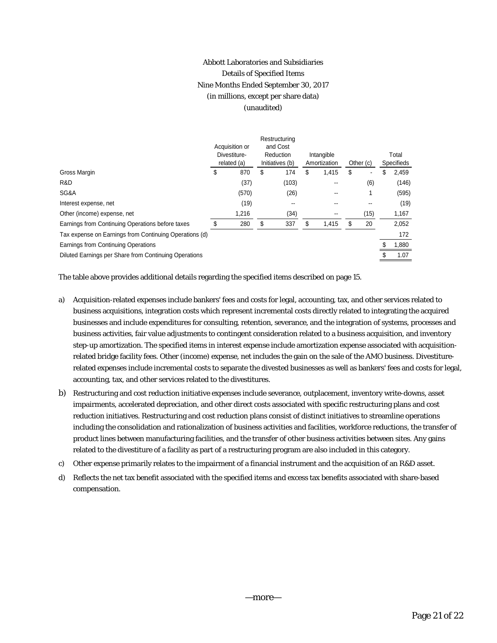# Abbott Laboratories and Subsidiaries Details of Specified Items Nine Months Ended September 30, 2017 (in millions, except per share data) (unaudited)

| Acquisition or<br>Divestiture-<br>related (a) |       | and Cost<br>Reduction<br>Initiatives (b) |       |               |       |                            |      | Total<br><b>Specifieds</b> |       |  |
|-----------------------------------------------|-------|------------------------------------------|-------|---------------|-------|----------------------------|------|----------------------------|-------|--|
| S                                             | 870   | \$                                       | 174   | S             | 1,415 | \$                         |      | S                          | 2,459 |  |
|                                               | (37)  |                                          | (103) |               |       |                            | (6)  |                            | (146) |  |
|                                               | (570) |                                          | (26)  |               |       |                            |      |                            | (595) |  |
|                                               | (19)  |                                          |       |               |       |                            | --   |                            | (19)  |  |
|                                               | 1,216 |                                          | (34)  |               |       |                            | (15) |                            | 1,167 |  |
|                                               | 280   | \$                                       | 337   | S             | 1,415 | S                          | 20   |                            | 2,052 |  |
|                                               |       |                                          |       |               |       |                            |      |                            | 172   |  |
|                                               |       |                                          |       |               |       |                            |      |                            | 1,880 |  |
|                                               |       |                                          |       |               |       |                            |      |                            | 1.07  |  |
|                                               |       |                                          |       | Restructuring |       | Intangible<br>Amortization |      | Other (c)                  |       |  |

The table above provides additional details regarding the specified items described on page 15.

- a) Acquisition-related expenses include bankers' fees and costs for legal, accounting, tax, and other services related to business acquisitions, integration costs which represent incremental costs directly related to integrating the acquired businesses and include expenditures for consulting, retention, severance, and the integration of systems, processes and business activities, fair value adjustments to contingent consideration related to a business acquisition, and inventory step-up amortization. The specified items in interest expense include amortization expense associated with acquisitionrelated bridge facility fees. Other (income) expense, net includes the gain on the sale of the AMO business. Divestiturerelated expenses include incremental costs to separate the divested businesses as well as bankers' fees and costs for legal, accounting, tax, and other services related to the divestitures.
- b) Restructuring and cost reduction initiative expenses include severance, outplacement, inventory write-downs, asset impairments, accelerated depreciation, and other direct costs associated with specific restructuring plans and cost reduction initiatives. Restructuring and cost reduction plans consist of distinct initiatives to streamline operations including the consolidation and rationalization of business activities and facilities, workforce reductions, the transfer of product lines between manufacturing facilities, and the transfer of other business activities between sites. Any gains related to the divestiture of a facility as part of a restructuring program are also included in this category.
- c) Other expense primarily relates to the impairment of a financial instrument and the acquisition of an R&D asset.
- d) Reflects the net tax benefit associated with the specified items and excess tax benefits associated with share-based compensation.